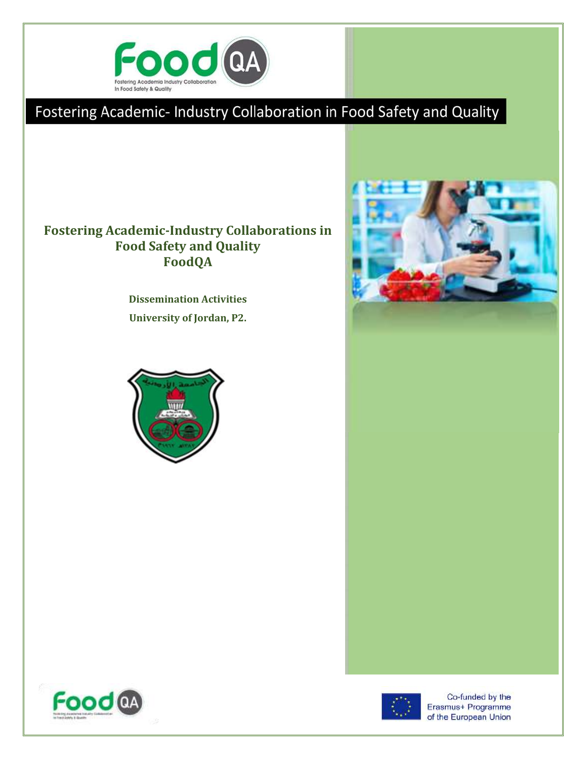

# Fostering Academic- Industry Collaboration in Food Safety and Quality

### **Fostering Academic-Industry Collaborations in Food Safety and Quality FoodQA**

**Dissemination Activities University of Jordan, P2.**







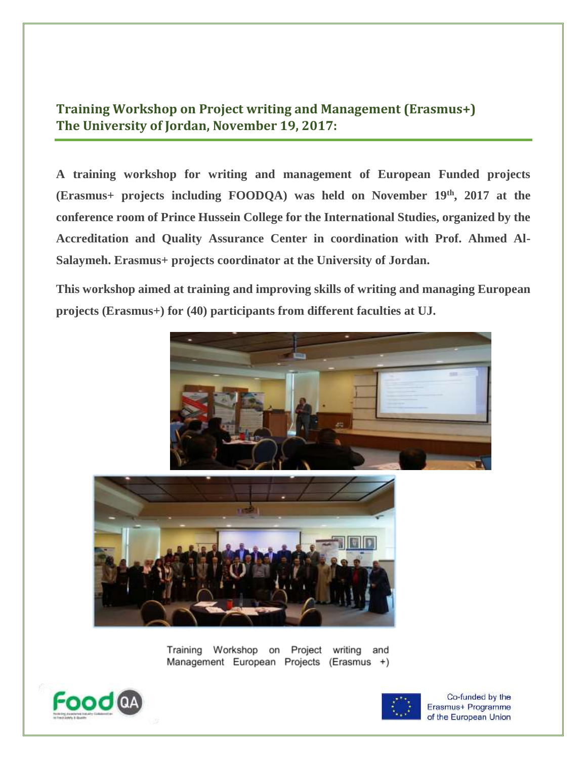## **Training Workshop on Project writing and Management (Erasmus+) The University of Jordan, November 19, 2017:**

**A training workshop for writing and management of European Funded projects (Erasmus+ projects including FOODQA) was held on November 19th, 2017 at the conference room of Prince Hussein College for the International Studies, organized by the Accreditation and Quality Assurance Center in coordination with Prof. Ahmed Al-Salaymeh. Erasmus+ projects coordinator at the University of Jordan.** 

**This workshop aimed at training and improving skills of writing and managing European projects (Erasmus+) for (40) participants from different faculties at UJ.**



Training Workshop on Project writing and Management European Projects (Erasmus +)



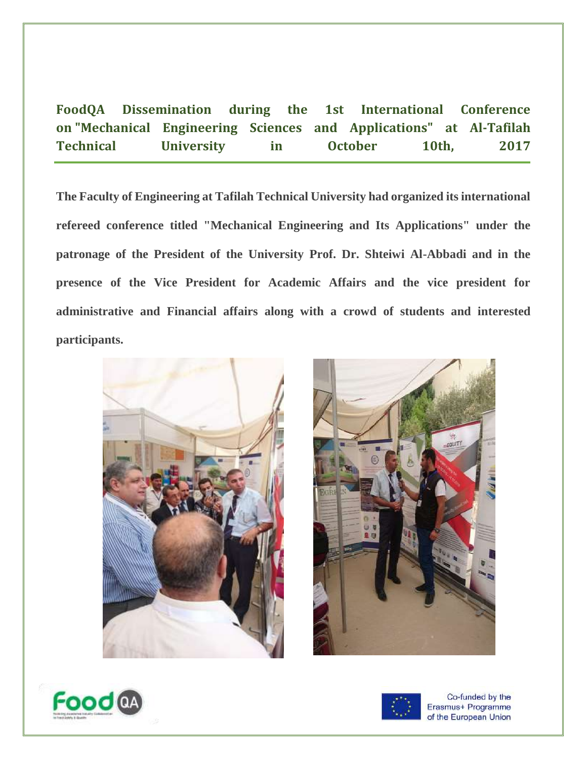**FoodQA Dissemination during the 1st International Conference on "Mechanical Engineering Sciences and Applications" at Al-Tafilah Technical University in October 10th, 2017**

**The Faculty of Engineering at Tafilah Technical University had organized its international refereed conference titled "Mechanical Engineering and Its Applications" under the patronage of the President of the University Prof. Dr. Shteiwi Al-Abbadi and in the presence of the Vice President for Academic Affairs and the vice president for administrative and Financial affairs along with a crowd of students and interested participants.**







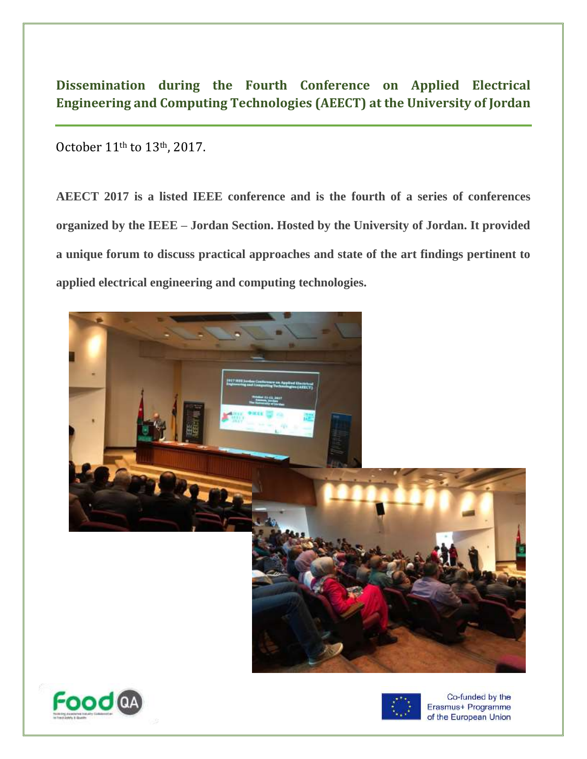## **Dissemination during the Fourth Conference on Applied Electrical Engineering and Computing Technologies (AEECT) at the University of Jordan**

October 11th to 13th, 2017.

**AEECT 2017 is a listed IEEE conference and is the fourth of a series of conferences organized by the IEEE – Jordan Section. Hosted by the University of Jordan. It provided a unique forum to discuss practical approaches and state of the art findings pertinent to applied electrical engineering and computing technologies.**





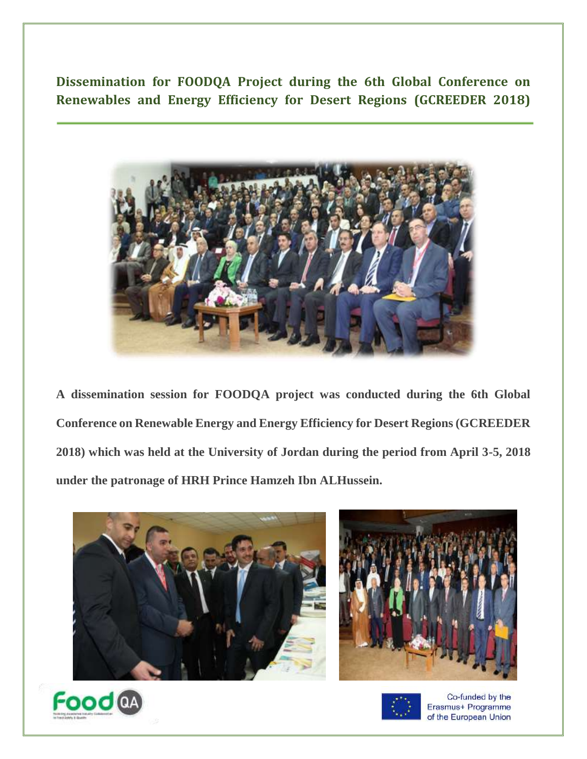**Dissemination for FOODQA Project during the 6th Global Conference on Renewables and Energy Efficiency for Desert Regions (GCREEDER 2018)**



**A dissemination session for FOODQA project was conducted during the 6th Global Conference on Renewable Energy and Energy Efficiency for Desert Regions (GCREEDER 2018) which was held at the University of Jordan during the period from April 3-5, 2018 under the patronage of HRH Prince Hamzeh Ibn ALHussein.**





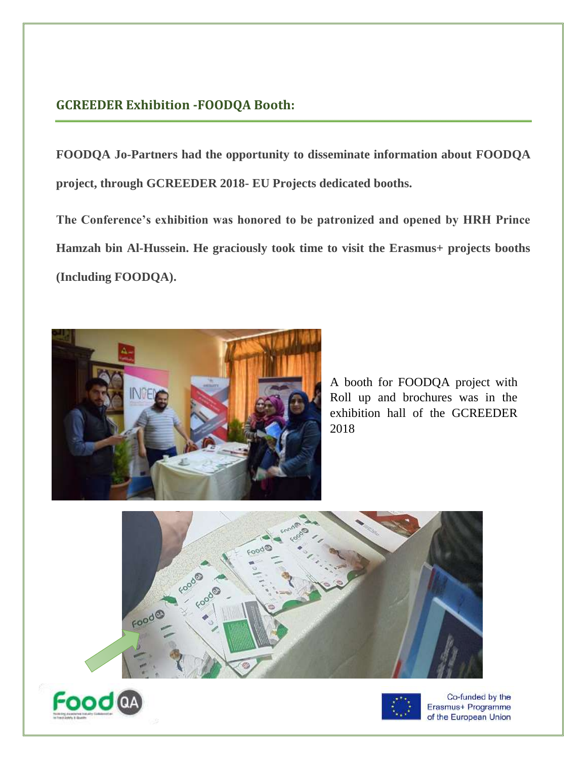#### **GCREEDER Exhibition -FOODQA Booth:**

**FOODQA Jo-Partners had the opportunity to disseminate information about FOODQA project, through GCREEDER 2018- EU Projects dedicated booths.**

**The Conference's exhibition was honored to be patronized and opened by HRH Prince Hamzah bin Al-Hussein. He graciously took time to visit the Erasmus+ projects booths (Including FOODQA).**



A booth for FOODQA project with Roll up and brochures was in the exhibition hall of the GCREEDER 2018





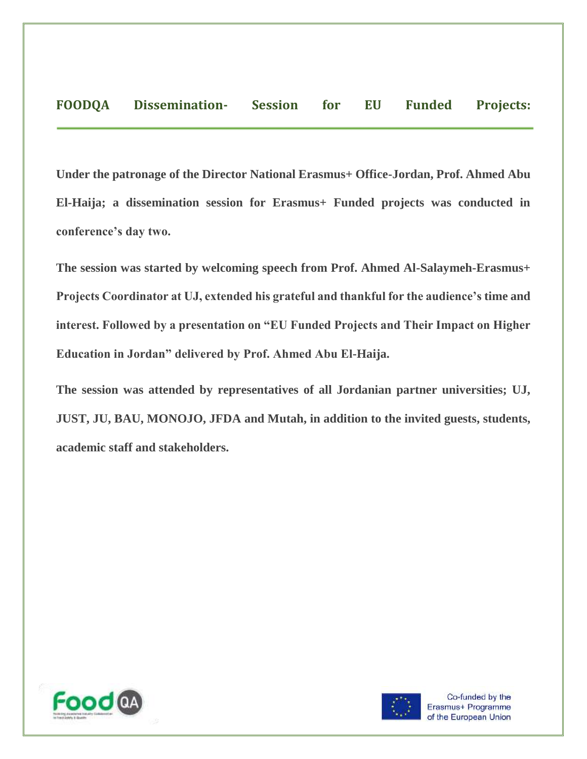**Under the patronage of the Director National Erasmus+ Office-Jordan, Prof. Ahmed Abu El-Haija; a dissemination session for Erasmus+ Funded projects was conducted in conference's day two.**

**The session was started by welcoming speech from Prof. Ahmed Al-Salaymeh-Erasmus+ Projects Coordinator at UJ, extended his grateful and thankful for the audience's time and interest. Followed by a presentation on "EU Funded Projects and Their Impact on Higher Education in Jordan" delivered by Prof. Ahmed Abu El-Haija.**

**The session was attended by representatives of all Jordanian partner universities; UJ, JUST, JU, BAU, MONOJO, JFDA and Mutah, in addition to the invited guests, students, academic staff and stakeholders.**



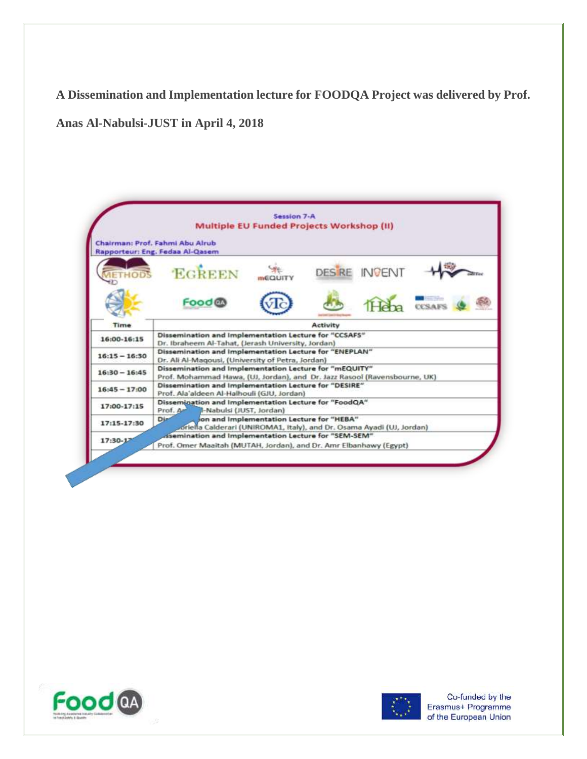**A Dissemination and Implementation lecture for FOODQA Project was delivered by Prof.** 

**Anas Al-Nabulsi-JUST in April 4, 2018**

|                 | Session 7-A<br><b>Multiple EU Funded Projects Workshop (II)</b>                                                                     |
|-----------------|-------------------------------------------------------------------------------------------------------------------------------------|
|                 | Chairman: Prof. Fahmi Abu Alrub<br>Rapporteur: Eng. Fedaa Al-Qasem                                                                  |
|                 | <b>EGREEN</b><br><b>DES RE</b><br>INGEI                                                                                             |
|                 | Food M                                                                                                                              |
| Time            | Activity                                                                                                                            |
| 16:00-16:15     | Dissemination and Implementation Lecture for "CCSAFS"<br>Dr. Ibraheem Al-Tahat, (Jerash University, Jordan)                         |
| $16:15 - 16:30$ | Dissemination and Implementation Lecture for "ENEPLAN"<br>Dr. Ali Al-Magousi, (University of Petra, Jordan)                         |
| $16:30 - 16:45$ | Dissemination and Implementation Lecture for "mEQUITY"<br>Prof. Mohammad Hawa, (UJ, Jordan), and Dr. Jazz Rasool (Ravensbourne, UK) |
| $16:45 - 17:00$ | Dissemination and Implementation Lecture for "DESIRE"<br>Prof. Ala'aldeen Al-Halhouli (GJU, Jordan)                                 |
| 17:00-17:15     | Dissemination and Implementation Lecture for "FoodQA"<br>Prof. A<br>Il-Nabulsi (JUST, Jordan)                                       |
| 17:15-17:30     | Dist<br>on and Implementation Lecture for "HEBA"<br>oriella Calderari (UNIROMA1, Italy), and Dr. Osama Ayadi (UJ, Jordan)           |
| 17:30-17        | . isemination and Implementation Lecture for "SEM-SEM"<br>Prof. Omer Maaitah (MUTAH, Jordan), and Dr. Amr Elbanhawy (Egypt)         |